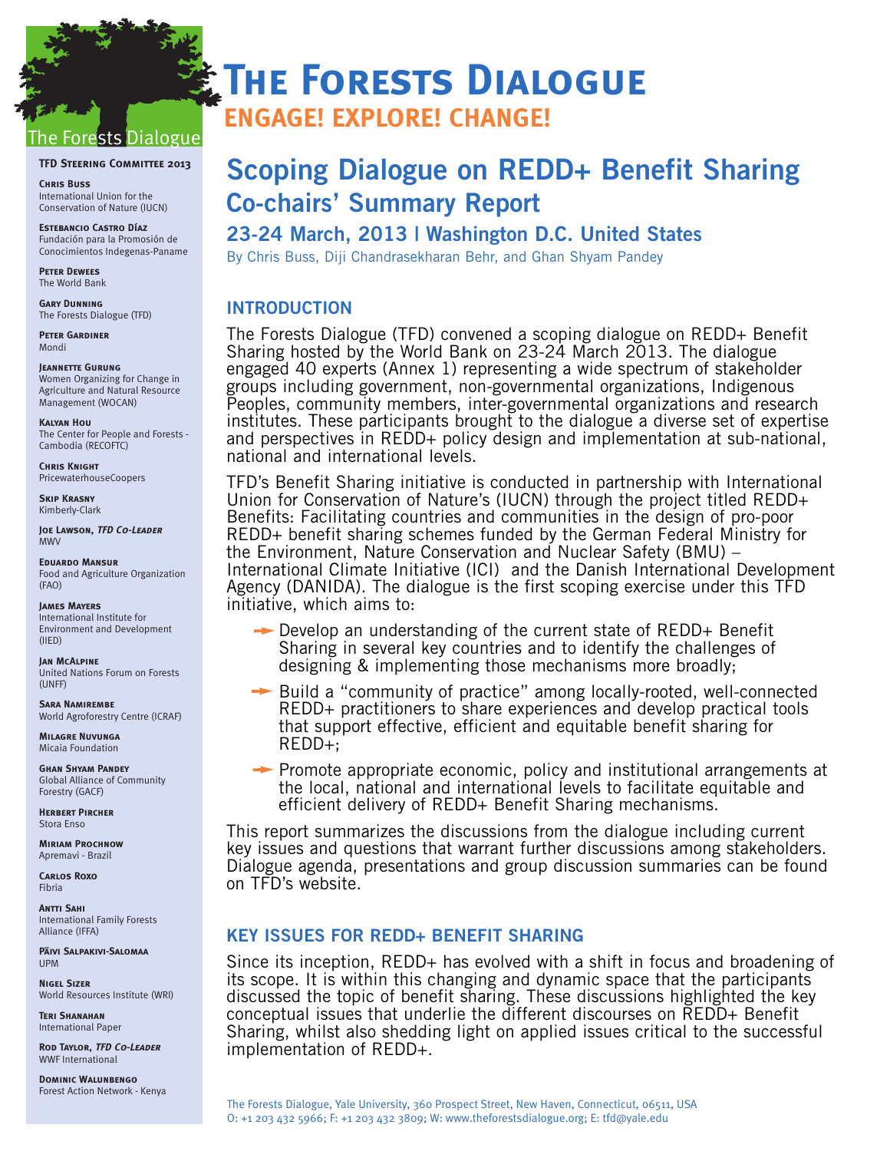# orests Dialogue

#### **TFD STEERING COMMITTEE 2013**

**Chris Buss** International Union for the Conservation of Nature (IUCN)

**Estebancio Castro Díaz** Fundación para la Promosión de Conocimientos Indegenas-Paname

**Peter Dewees** The World Bank

**Gary Dunning**  The Forests Dialogue (TFD)

**Peter Gardiner** Mondi

**Jeannette Gurung** Women Organizing for Change in Agriculture and Natural Resource Management (WOCAN)

**Kalyan Hou** The Center for People and Forests - Cambodia (RECOFTC)

**Chris Knight** PricewaterhouseCoopers

**Skip Krasny** Kimberly-Clark

**Joe Lawson, TFD Co-Leader** MWV

**Eduardo Mansur** Food and Agriculture Organization (FAO)

**James Mayers** International Institute for Environment and Development (IIED)

**Jan McAlpine** United Nations Forum on Forests (UNFF)

**Sara Namirembe** World Agroforestry Centre (ICRAF)

**Milagre Nuvunga** Micaia Foundation

**Ghan Shyam Pandey** Global Alliance of Community Forestry (GACF)

**Herbert Pircher** Stora Enso

**Miriam Prochnow** Apremavi - Brazil

**Carlos Roxo** Fibria

**Antti Sahi** International Family Forests Alliance (IFFA)

**Päivi Salpakivi-Salomaa** UPM

**Nigel Sizer** World Resources Institute (WRI)

**Teri Shanahan** International Paper

**Rod Taylor, TFD Co-Leader** WWF International

**Dominic Walunbengo** Forest Action Network - Kenya

# **THE FORESTS DIALOGUE**

**ENGAGE! EXPLORE! CHANGE!**

# **Scoping Dialogue on REDD+ Benefit Sharing Co-chairs' Summary Report**

# **23-24 March, 2013 | Washington D.C. United States**

By Chris Buss, Diji Chandrasekharan Behr, and Ghan Shyam Pandey

# **INTRODUCTION**

The Forests Dialogue (TFD) convened a scoping dialogue on REDD+ Benefit Sharing hosted by the World Bank on 23-24 March 2013. The dialogue engaged 40 experts (Annex 1) representing a wide spectrum of stakeholder groups including government, non-governmental organizations, Indigenous Peoples, community members, inter-governmental organizations and research institutes. These participants brought to the dialogue a diverse set of expertise and perspectives in REDD+ policy design and implementation at sub-national, national and international levels.

TFD's Benefit Sharing initiative is conducted in partnership with International Union for Conservation of Nature's (IUCN) through the project titled REDD+ Benefits: Facilitating countries and communities in the design of pro-poor REDD+ benefit sharing schemes funded by the German Federal Ministry for the Environment, Nature Conservation and Nuclear Safety (BMU) – International Climate Initiative (ICI) and the Danish International Development Agency (DANIDA). The dialogue is the first scoping exercise under this TFD initiative, which aims to:

- $\rightarrow$  Develop an understanding of the current state of REDD+ Benefit Sharing in several key countries and to identify the challenges of designing & implementing those mechanisms more broadly;
- → Build a "community of practice" among locally-rooted, well-connected REDD+ practitioners to share experiences and develop practical tools that support effective, efficient and equitable benefit sharing for REDD+;
- $\rightarrow$  Promote appropriate economic, policy and institutional arrangements at the local, national and international levels to facilitate equitable and efficient delivery of REDD+ Benefit Sharing mechanisms.

This report summarizes the discussions from the dialogue including current key issues and questions that warrant further discussions among stakeholders. Dialogue agenda, presentations and group discussion summaries can be found on [TFD's website.](http://environment.yale.edu/tfd/dialogues/redd-benefit-sharing/)

# **KEY ISSUES FOR REDD+ BENEFIT SHARING**

Since its inception, REDD+ has evolved with a shift in focus and broadening of its scope. It is within this changing and dynamic space that the participants discussed the topic of benefit sharing. These discussions highlighted the key conceptual issues that underlie the different discourses on REDD+ Benefit Sharing, whilst also shedding light on applied issues critical to the successful implementation of REDD+.

The Forests Dialogue, Yale University, 360 Prospect Street, New Haven, Connecticut, 06511, USA O: +1 203 432 5966; F: +1 203 432 3809; W: www.theforestsdialogue.org; E: tfd@yale.edu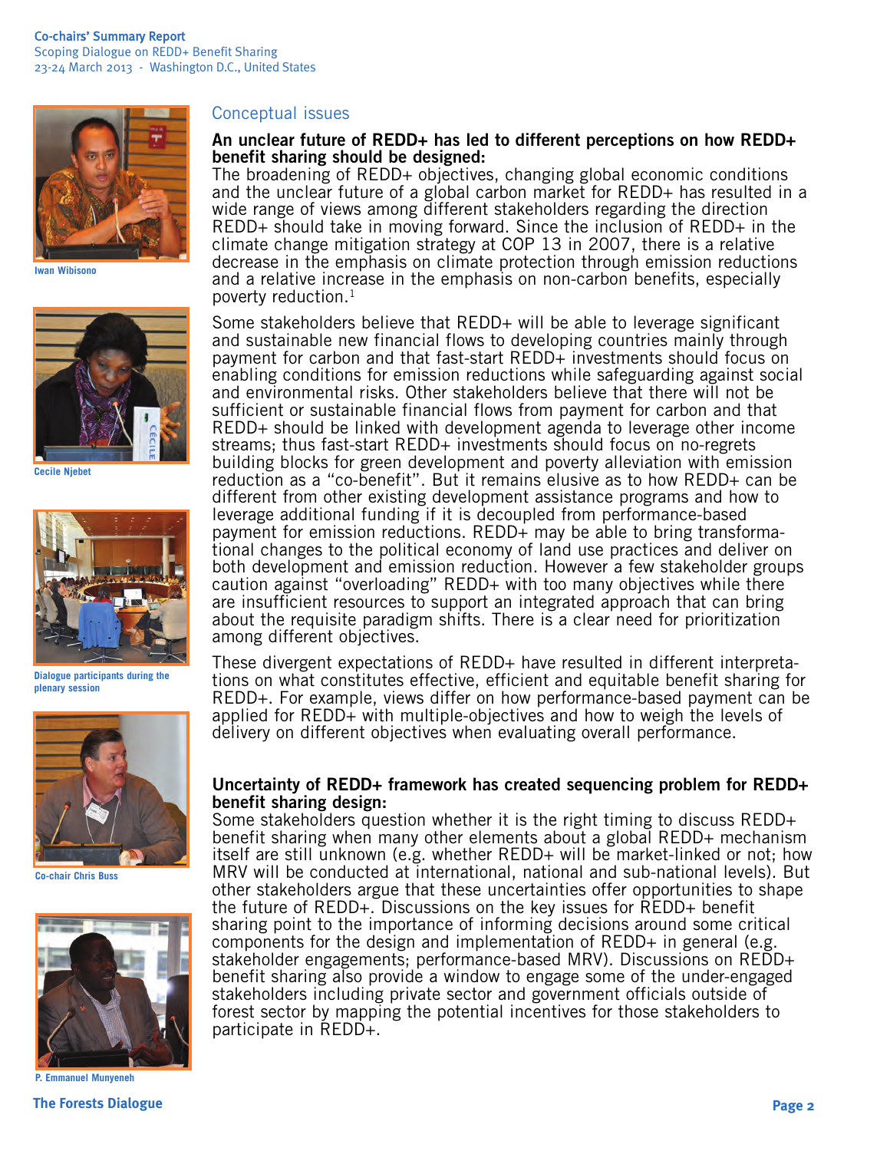

**Iwan Wibisono**



**Cecile Njebet**



**Dialogue participants during the plenary session**



**Co-chair Chris Buss**



**P. Emmanuel Munyeneh**

### Conceptual issues

### **An unclear future of REDD+ has led to different perceptions on how REDD+ benefit sharing should be designed:**

The broadening of REDD+ objectives, changing global economic conditions and the unclear future of a global carbon market for REDD+ has resulted in a wide range of views among different stakeholders regarding the direction REDD+ should take in moving forward. Since the inclusion of REDD+ in the climate change mitigation strategy at COP 13 in 2007, there is a relative decrease in the emphasis on climate protection through emission reductions and a relative increase in the emphasis on non-carbon benefits, especially poverty reduction. $<sup>1</sup>$ </sup>

Some stakeholders believe that REDD+ will be able to leverage significant and sustainable new financial flows to developing countries mainly through payment for carbon and that fast-start REDD+ investments should focus on enabling conditions for emission reductions while safeguarding against social and environmental risks. Other stakeholders believe that there will not be sufficient or sustainable financial flows from payment for carbon and that REDD+ should be linked with development agenda to leverage other income streams; thus fast-start REDD+ investments should focus on no-regrets building blocks for green development and poverty alleviation with emission reduction as a "co-benefit". But it remains elusive as to how REDD+ can be different from other existing development assistance programs and how to leverage additional funding if it is decoupled from performance-based payment for emission reductions. REDD+ may be able to bring transformational changes to the political economy of land use practices and deliver on both development and emission reduction. However a few stakeholder groups caution against "overloading" REDD+ with too many objectives while there are insufficient resources to support an integrated approach that can bring about the requisite paradigm shifts. There is a clear need for prioritization among different objectives.

These divergent expectations of REDD+ have resulted in different interpretations on what constitutes effective, efficient and equitable benefit sharing for REDD+. For example, views differ on how performance-based payment can be applied for REDD+ with multiple-objectives and how to weigh the levels of delivery on different objectives when evaluating overall performance.

#### **Uncertainty of REDD+ framework has created sequencing problem for REDD+ benefit sharing design:**

Some stakeholders question whether it is the right timing to discuss REDD+ benefit sharing when many other elements about a global REDD+ mechanism itself are still unknown (e.g. whether REDD+ will be market-linked or not; how MRV will be conducted at international, national and sub-national levels). But other stakeholders argue that these uncertainties offer opportunities to shape the future of REDD+. Discussions on the key issues for REDD+ benefit sharing point to the importance of informing decisions around some critical components for the design and implementation of REDD+ in general (e.g. stakeholder engagements; performance-based MRV). Discussions on REDD+ benefit sharing also provide a window to engage some of the under-engaged stakeholders including private sector and government officials outside of forest sector by mapping the potential incentives for those stakeholders to participate in REDD+.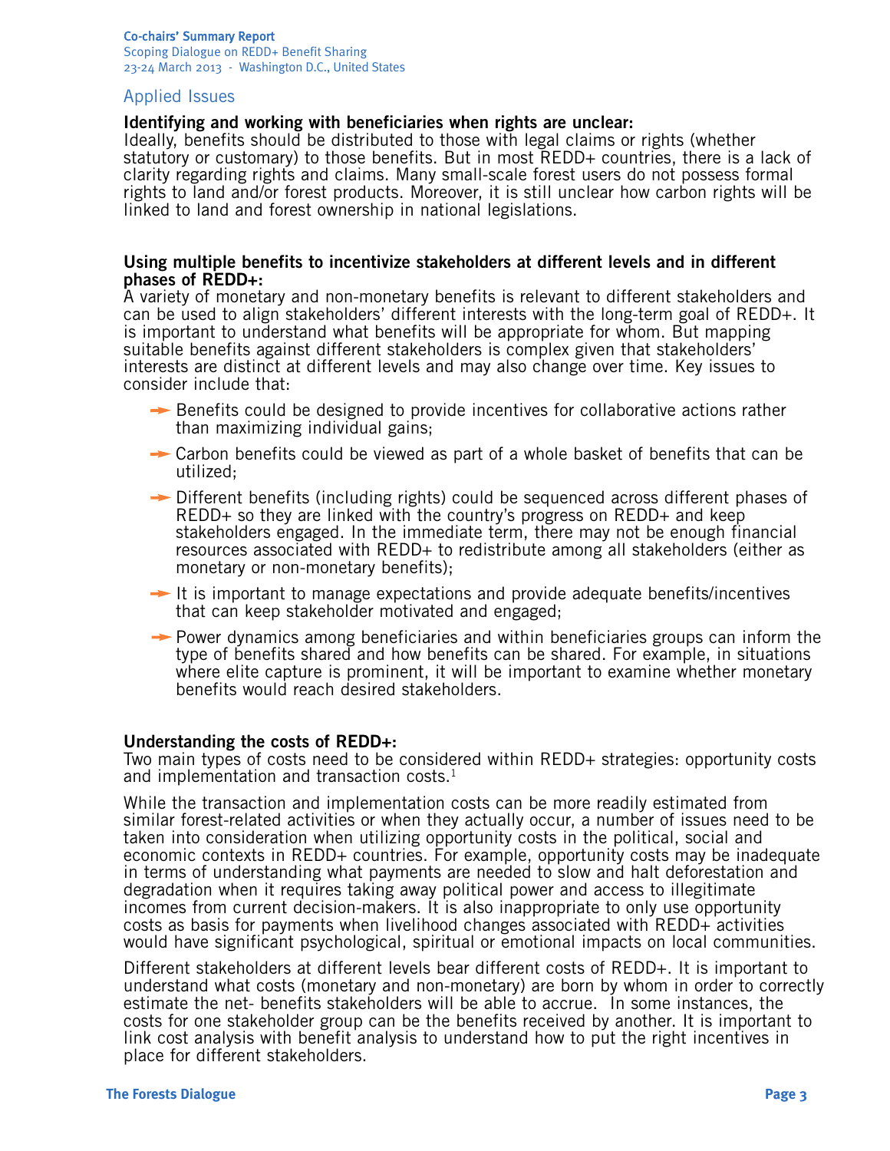#### Co-chairs' Summary Report Scoping Dialogue on REDD+ Benefit Sharing 23-24 March 2013 - Washington D.C., United States

# Applied Issues

# **Identifying and working with beneficiaries when rights are unclear:**

Ideally, benefits should be distributed to those with legal claims or rights (whether statutory or customary) to those benefits. But in most REDD+ countries, there is a lack of clarity regarding rights and claims. Many small-scale forest users do not possess formal rights to land and/or forest products. Moreover, it is still unclear how carbon rights will be linked to land and forest ownership in national legislations.

#### **Using multiple benefits to incentivize stakeholders at different levels and in different phases of REDD+:**

A variety of monetary and non-monetary benefits is relevant to different stakeholders and can be used to align stakeholders' different interests with the long-term goal of REDD+. It is important to understand what benefits will be appropriate for whom. But mapping suitable benefits against different stakeholders is complex given that stakeholders' interests are distinct at different levels and may also change over time. Key issues to consider include that:

- $\rightarrow$  Benefits could be designed to provide incentives for collaborative actions rather than maximizing individual gains;
- $\rightarrow$  Carbon benefits could be viewed as part of a whole basket of benefits that can be utilized;
- $\rightarrow$  Different benefits (including rights) could be sequenced across different phases of REDD+ so they are linked with the country's progress on REDD+ and keep stakeholders engaged. In the immediate term, there may not be enough financial resources associated with REDD+ to redistribute among all stakeholders (either as monetary or non-monetary benefits);
- $\rightarrow$  It is important to manage expectations and provide adequate benefits/incentives that can keep stakeholder motivated and engaged;
- $\rightarrow$  Power dynamics among beneficiaries and within beneficiaries groups can inform the type of benefits shared and how benefits can be shared. For example, in situations where elite capture is prominent, it will be important to examine whether monetary benefits would reach desired stakeholders.

# **Understanding the costs of REDD+:**

Two main types of costs need to be considered within REDD+ strategies: opportunity costs and implementation and transaction costs. $<sup>1</sup>$ </sup>

While the transaction and implementation costs can be more readily estimated from similar forest-related activities or when they actually occur, a number of issues need to be taken into consideration when utilizing opportunity costs in the political, social and economic contexts in REDD+ countries. For example, opportunity costs may be inadequate in terms of understanding what payments are needed to slow and halt deforestation and degradation when it requires taking away political power and access to illegitimate incomes from current decision-makers. It is also inappropriate to only use opportunity costs as basis for payments when livelihood changes associated with REDD+ activities would have significant psychological, spiritual or emotional impacts on local communities.

Different stakeholders at different levels bear different costs of REDD+. It is important to understand what costs (monetary and non-monetary) are born by whom in order to correctly estimate the net- benefits stakeholders will be able to accrue. In some instances, the costs for one stakeholder group can be the benefits received by another. It is important to link cost analysis with benefit analysis to understand how to put the right incentives in place for different stakeholders.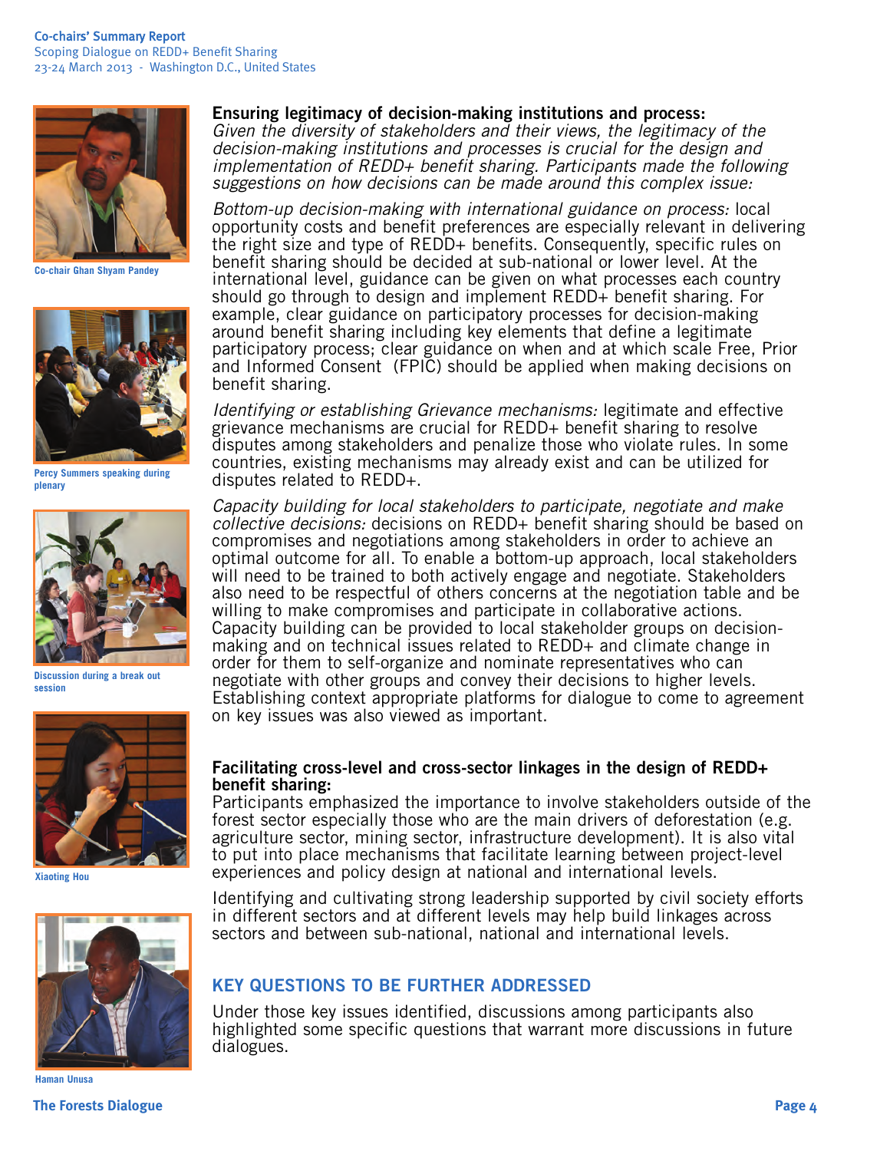

**Co-chair Ghan Shyam Pandey**



**Percy Summers speaking during plenary**



**Discussion during a break out session**



**Xiaoting Hou**



**Haman Unusa** 

# **Ensuring legitimacy of decision-making institutions and process:**

*Given the diversity of stakeholders and their views, the legitimacy of the decision-making institutions and processes is crucial for the design and implementation of REDD+ benefit sharing. Participants made the following suggestions on how decisions can be made around this complex issue:* 

*Bottom-up decision-making with international guidance on process:* local opportunity costs and benefit preferences are especially relevant in delivering the right size and type of REDD+ benefits. Consequently, specific rules on benefit sharing should be decided at sub-national or lower level. At the international level, guidance can be given on what processes each country should go through to design and implement REDD+ benefit sharing. For example, clear guidance on participatory processes for decision-making around benefit sharing including key elements that define a legitimate participatory process; clear guidance on when and at which scale Free, Prior and Informed Consent (FPIC) should be applied when making decisions on benefit sharing.

*Identifying or establishing Grievance mechanisms:* legitimate and effective grievance mechanisms are crucial for REDD+ benefit sharing to resolve disputes among stakeholders and penalize those who violate rules. In some countries, existing mechanisms may already exist and can be utilized for disputes related to REDD+.

*Capacity building for local stakeholders to participate, negotiate and make collective decisions:* decisions on REDD+ benefit sharing should be based on compromises and negotiations among stakeholders in order to achieve an optimal outcome for all. To enable a bottom-up approach, local stakeholders will need to be trained to both actively engage and negotiate. Stakeholders also need to be respectful of others concerns at the negotiation table and be willing to make compromises and participate in collaborative actions. Capacity building can be provided to local stakeholder groups on decisionmaking and on technical issues related to REDD+ and climate change in order for them to self-organize and nominate representatives who can negotiate with other groups and convey their decisions to higher levels. Establishing context appropriate platforms for dialogue to come to agreement on key issues was also viewed as important.

#### **Facilitating cross-level and cross-sector linkages in the design of REDD+ benefit sharing:**

Participants emphasized the importance to involve stakeholders outside of the forest sector especially those who are the main drivers of deforestation (e.g. agriculture sector, mining sector, infrastructure development). It is also vital to put into place mechanisms that facilitate learning between project-level experiences and policy design at national and international levels.

Identifying and cultivating strong leadership supported by civil society efforts in different sectors and at different levels may help build linkages across sectors and between sub-national, national and international levels.

# **KEY QUESTIONS TO BE FURTHER ADDRESSED**

Under those key issues identified, discussions among participants also highlighted some specific questions that warrant more discussions in future dialogues.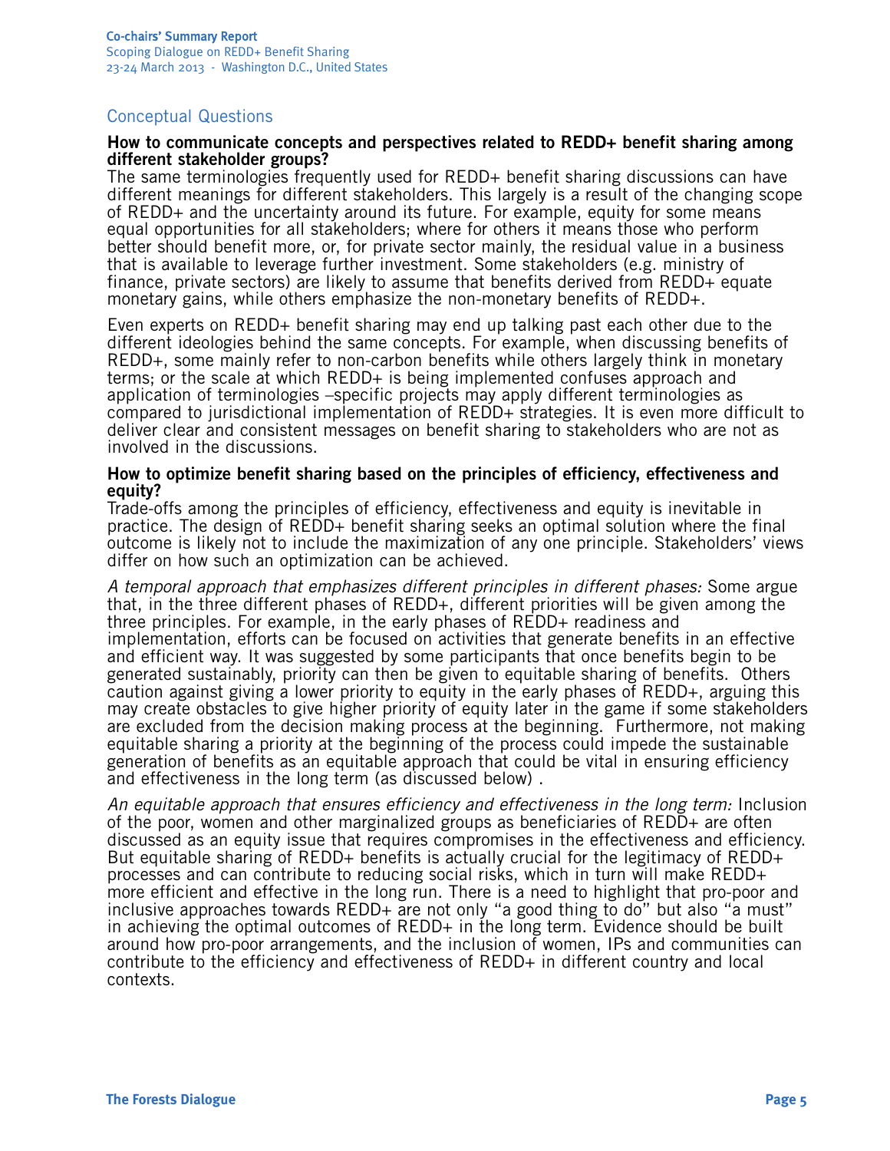# Conceptual Questions

#### **How to communicate concepts and perspectives related to REDD+ benefit sharing among different stakeholder groups?**

The same terminologies frequently used for REDD+ benefit sharing discussions can have different meanings for different stakeholders. This largely is a result of the changing scope of REDD+ and the uncertainty around its future. For example, equity for some means equal opportunities for all stakeholders; where for others it means those who perform better should benefit more, or, for private sector mainly, the residual value in a business that is available to leverage further investment. Some stakeholders (e.g. ministry of finance, private sectors) are likely to assume that benefits derived from REDD+ equate monetary gains, while others emphasize the non-monetary benefits of REDD+.

Even experts on REDD+ benefit sharing may end up talking past each other due to the different ideologies behind the same concepts. For example, when discussing benefits of REDD+, some mainly refer to non-carbon benefits while others largely think in monetary terms; or the scale at which REDD+ is being implemented confuses approach and application of terminologies –specific projects may apply different terminologies as compared to jurisdictional implementation of REDD+ strategies. It is even more difficult to deliver clear and consistent messages on benefit sharing to stakeholders who are not as involved in the discussions.

#### **How to optimize benefit sharing based on the principles of efficiency, effectiveness and equity?**

Trade-offs among the principles of efficiency, effectiveness and equity is inevitable in practice. The design of REDD+ benefit sharing seeks an optimal solution where the final outcome is likely not to include the maximization of any one principle. Stakeholders' views differ on how such an optimization can be achieved.

*A temporal approach that emphasizes different principles in different phases:* Some argue that, in the three different phases of REDD+, different priorities will be given among the three principles. For example, in the early phases of REDD+ readiness and implementation, efforts can be focused on activities that generate benefits in an effective and efficient way. It was suggested by some participants that once benefits begin to be generated sustainably, priority can then be given to equitable sharing of benefits. Others caution against giving a lower priority to equity in the early phases of REDD+, arguing this may create obstacles to give higher priority of equity later in the game if some stakeholders are excluded from the decision making process at the beginning. Furthermore, not making equitable sharing a priority at the beginning of the process could impede the sustainable generation of benefits as an equitable approach that could be vital in ensuring efficiency and effectiveness in the long term (as discussed below) .

*An equitable approach that ensures efficiency and effectiveness in the long term:* Inclusion of the poor, women and other marginalized groups as beneficiaries of REDD+ are often discussed as an equity issue that requires compromises in the effectiveness and efficiency. But equitable sharing of REDD+ benefits is actually crucial for the legitimacy of REDD+ processes and can contribute to reducing social risks, which in turn will make REDD+ more efficient and effective in the long run. There is a need to highlight that pro-poor and inclusive approaches towards REDD+ are not only "a good thing to do" but also "a must" in achieving the optimal outcomes of REDD+ in the long term. Evidence should be built around how pro-poor arrangements, and the inclusion of women, IPs and communities can contribute to the efficiency and effectiveness of REDD+ in different country and local contexts.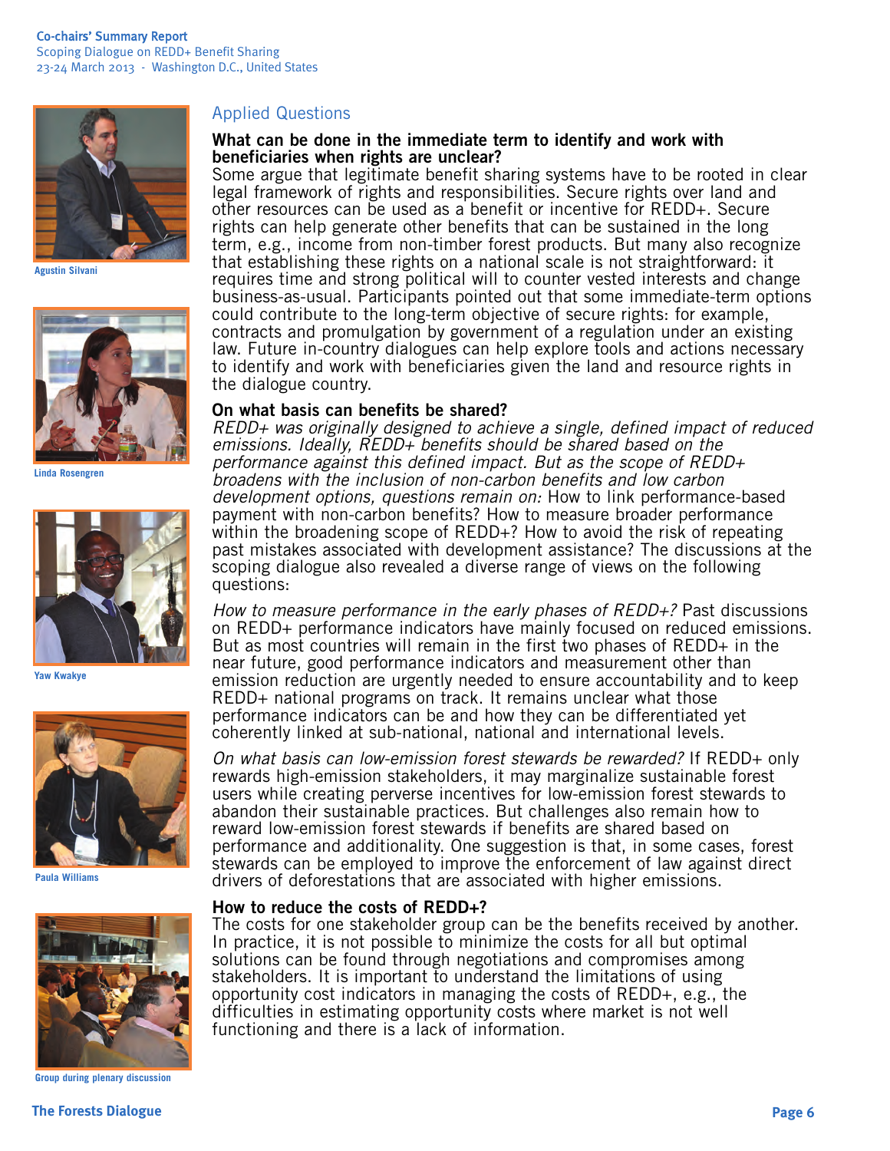

**Agustin Silvani**



**Linda Rosengren**



**Yaw Kwakye**



**Paula Williams**



**Group during plenary discussion**

# Applied Questions

### **What can be done in the immediate term to identify and work with beneficiaries when rights are unclear?**

Some argue that legitimate benefit sharing systems have to be rooted in clear legal framework of rights and responsibilities. Secure rights over land and other resources can be used as a benefit or incentive for REDD+. Secure rights can help generate other benefits that can be sustained in the long term, e.g., income from non-timber forest products. But many also recognize that establishing these rights on a national scale is not straightforward: it requires time and strong political will to counter vested interests and change business-as-usual. Participants pointed out that some immediate-term options could contribute to the long-term objective of secure rights: for example, contracts and promulgation by government of a regulation under an existing law. Future in-country dialogues can help explore tools and actions necessary to identify and work with beneficiaries given the land and resource rights in the dialogue country.

#### **On what basis can benefits be shared?**

*REDD+ was originally designed to achieve a single, defined impact of reduced emissions. Ideally, REDD+ benefits should be shared based on the performance against this defined impact. But as the scope of REDD+ broadens with the inclusion of non-carbon benefits and low carbon development options, questions remain on:* How to link performance-based payment with non-carbon benefits? How to measure broader performance within the broadening scope of REDD+? How to avoid the risk of repeating past mistakes associated with development assistance? The discussions at the scoping dialogue also revealed a diverse range of views on the following questions:

*How to measure performance in the early phases of REDD+?* Past discussions on REDD+ performance indicators have mainly focused on reduced emissions. But as most countries will remain in the first two phases of REDD+ in the near future, good performance indicators and measurement other than emission reduction are urgently needed to ensure accountability and to keep REDD+ national programs on track. It remains unclear what those performance indicators can be and how they can be differentiated yet coherently linked at sub-national, national and international levels.

*On what basis can low-emission forest stewards be rewarded?* If REDD+ only rewards high-emission stakeholders, it may marginalize sustainable forest users while creating perverse incentives for low-emission forest stewards to abandon their sustainable practices. But challenges also remain how to reward low-emission forest stewards if benefits are shared based on performance and additionality. One suggestion is that, in some cases, forest stewards can be employed to improve the enforcement of law against direct drivers of deforestations that are associated with higher emissions.

#### **How to reduce the costs of REDD+?**

The costs for one stakeholder group can be the benefits received by another. In practice, it is not possible to minimize the costs for all but optimal solutions can be found through negotiations and compromises among stakeholders. It is important to understand the limitations of using opportunity cost indicators in managing the costs of REDD+, e.g., the difficulties in estimating opportunity costs where market is not well functioning and there is a lack of information.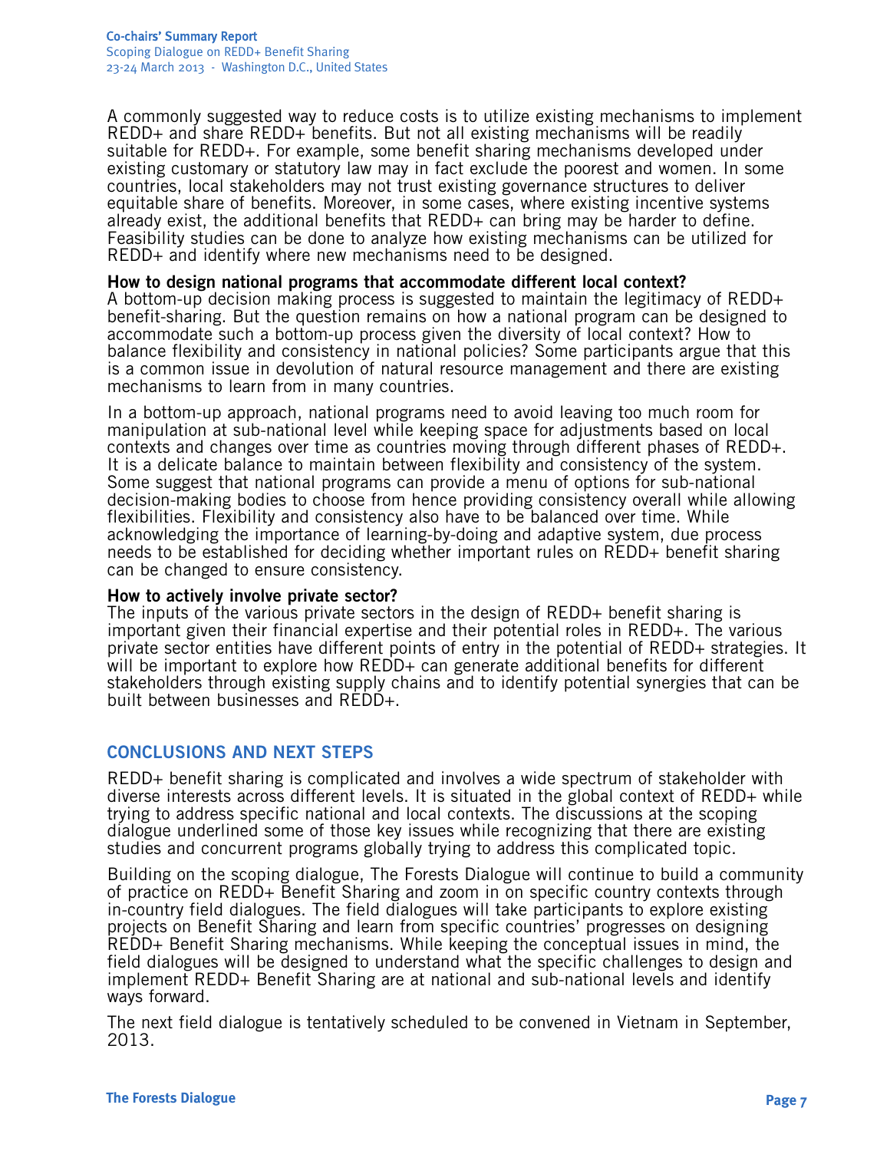A commonly suggested way to reduce costs is to utilize existing mechanisms to implement REDD+ and share REDD+ benefits. But not all existing mechanisms will be readily suitable for REDD+. For example, some benefit sharing mechanisms developed under existing customary or statutory law may in fact exclude the poorest and women. In some countries, local stakeholders may not trust existing governance structures to deliver equitable share of benefits. Moreover, in some cases, where existing incentive systems already exist, the additional benefits that REDD+ can bring may be harder to define. Feasibility studies can be done to analyze how existing mechanisms can be utilized for REDD+ and identify where new mechanisms need to be designed.

# **How to design national programs that accommodate different local context?**

A bottom-up decision making process is suggested to maintain the legitimacy of REDD+ benefit-sharing. But the question remains on how a national program can be designed to accommodate such a bottom-up process given the diversity of local context? How to balance flexibility and consistency in national policies? Some participants argue that this is a common issue in devolution of natural resource management and there are existing mechanisms to learn from in many countries.

In a bottom-up approach, national programs need to avoid leaving too much room for manipulation at sub-national level while keeping space for adjustments based on local contexts and changes over time as countries moving through different phases of REDD+. It is a delicate balance to maintain between flexibility and consistency of the system. Some suggest that national programs can provide a menu of options for sub-national decision-making bodies to choose from hence providing consistency overall while allowing flexibilities. Flexibility and consistency also have to be balanced over time. While acknowledging the importance of learning-by-doing and adaptive system, due process needs to be established for deciding whether important rules on REDD+ benefit sharing can be changed to ensure consistency.

# **How to actively involve private sector?**

The inputs of the various private sectors in the design of REDD+ benefit sharing is important given their financial expertise and their potential roles in REDD+. The various private sector entities have different points of entry in the potential of REDD+ strategies. It will be important to explore how REDD+ can generate additional benefits for different stakeholders through existing supply chains and to identify potential synergies that can be built between businesses and REDD+.

# **CONCLUSIONS AND NEXT STEPS**

REDD+ benefit sharing is complicated and involves a wide spectrum of stakeholder with diverse interests across different levels. It is situated in the global context of REDD+ while trying to address specific national and local contexts. The discussions at the scoping dialogue underlined some of those key issues while recognizing that there are existing studies and concurrent programs globally trying to address this complicated topic.

Building on the scoping dialogue, The Forests Dialogue will continue to build a community of practice on REDD+ Benefit Sharing and zoom in on specific country contexts through in-country field dialogues. The field dialogues will take participants to explore existing projects on Benefit Sharing and learn from specific countries' progresses on designing REDD+ Benefit Sharing mechanisms. While keeping the conceptual issues in mind, the field dialogues will be designed to understand what the specific challenges to design and implement REDD+ Benefit Sharing are at national and sub-national levels and identify ways forward.

The next field dialogue is tentatively scheduled to be convened in Vietnam in September, 2013.